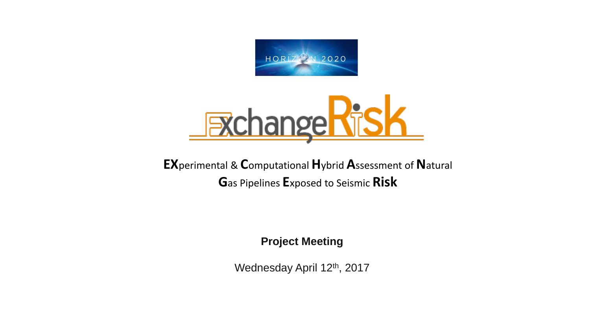



**EXperimental & Computational Hybrid Assessment of Natural** Gas Pipelines Exposed to Seismic Risk

**Project Meeting** 

Wednesday April 12th, 2017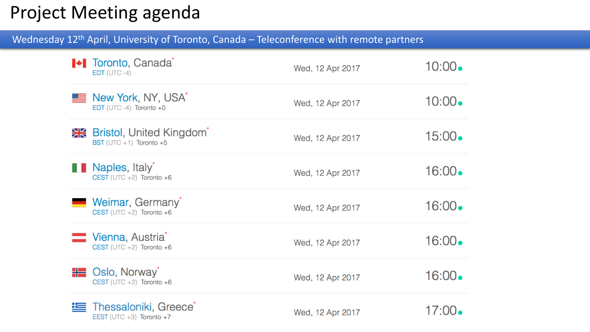## Project Meeting agenda

Wednesday 12<sup>th</sup> April, University of Toronto, Canada – Teleconference with remote partners

| <b>+</b> Toronto, Canada<br>$EDT$ (UTC -4)                         | Wed, 12 Apr 2017 | $10:00\bullet$  |
|--------------------------------------------------------------------|------------------|-----------------|
| <u>■ New York, NY, USA</u><br>EDT (UTC-4) Toronto +0               | Wed, 12 Apr 2017 | $10:00$ .       |
| <b>He</b> Bristol, United Kingdom<br>BST (UTC +1) Toronto +5       | Wed, 12 Apr 2017 | $15:00\bullet$  |
| <b>Naples</b> , Italy<br>CEST (UTC +2) Toronto +6                  | Wed, 12 Apr 2017 | $16:00 \bullet$ |
| <b>Weimar, Germany</b><br>CEST (UTC +2) Toronto +6                 | Wed, 12 Apr 2017 | $16:00 \bullet$ |
| Vienna, Austria <sup>®</sup><br>CEST (UTC +2) Toronto +6           | Wed, 12 Apr 2017 | $16:00 \bullet$ |
| <b>H</b> Oslo, Norway<br>CEST (UTC +2) Toronto +6                  | Wed, 12 Apr 2017 | $16:00 \bullet$ |
| Thessaloniki, Greece <sup>®</sup><br>EEST (UTC $+3$ ) Toronto $+7$ | Wed, 12 Apr 2017 | 17:00•          |